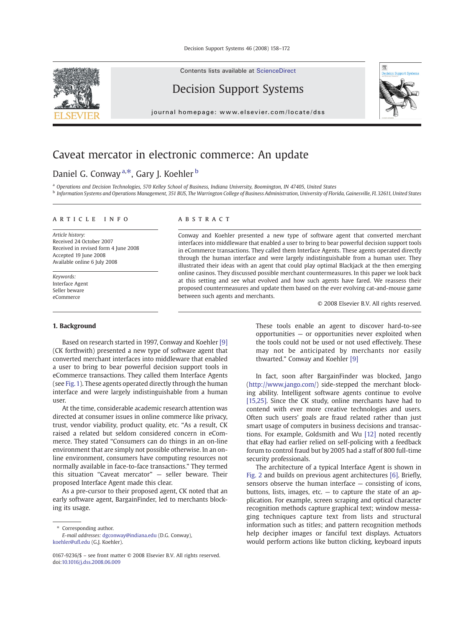Decision Support Systems 46 (2008) 158–172

Contents lists available at [ScienceDirect](http://www.sciencedirect.com/science/journal/01679236)



Decision Support Systems

journal homepage: www.elsevier.com/locate/dss

# Caveat mercator in electronic commerce: An update

## Daniel G. Conway<sup>a,\*</sup>, Gary J. Koehler <sup>b</sup>

<sup>a</sup> Operations and Decision Technologies, 570 Kelley School of Business, Indiana University, Boomington, IN 47405, United States b Information Systems and Operations Management, 351 BUS, The Warrington College of Business Administration, University of Florida, Gainesville, FL 32611, United States

#### article info abstract

Article history: Received 24 October 2007 Received in revised form 4 June 2008 Accepted 19 June 2008 Available online 6 July 2008

Keywords: Interface Agent Seller beware eCommerce

### 1. Background

Based on research started in 1997, Conway and Koehler [\[9\]](#page--1-0) (CK forthwith) presented a new type of software agent that converted merchant interfaces into middleware that enabled a user to bring to bear powerful decision support tools in eCommerce transactions. They called them Interface Agents (see [Fig. 1](#page-1-0)). These agents operated directly through the human interface and were largely indistinguishable from a human user.

At the time, considerable academic research attention was directed at consumer issues in online commerce like privacy, trust, vendor viability, product quality, etc. "As a result, CK raised a related but seldom considered concern in eCommerce. They stated "Consumers can do things in an on-line environment that are simply not possible otherwise. In an online environment, consumers have computing resources not normally available in face-to-face transactions." They termed this situation "Caveat mercator" — seller beware. Their proposed Interface Agent made this clear.

As a pre-cursor to their proposed agent, CK noted that an early software agent, BargainFinder, led to merchants blocking its usage.

E-mail addresses: [dgconway@indiana.edu](mailto:dgconway@indiana.edu) (D.G. Conway), [koehler@u](mailto:koehler@ufl.edu)fl.edu (G.J. Koehler).

Conway and Koehler presented a new type of software agent that converted merchant interfaces into middleware that enabled a user to bring to bear powerful decision support tools in eCommerce transactions. They called them Interface Agents. These agents operated directly through the human interface and were largely indistinguishable from a human user. They illustrated their ideas with an agent that could play optimal Blackjack at the then emerging online casinos. They discussed possible merchant countermeasures. In this paper we look back at this setting and see what evolved and how such agents have fared. We reassess their proposed countermeasures and update them based on the ever evolving cat-and-mouse game between such agents and merchants.

© 2008 Elsevier B.V. All rights reserved.

These tools enable an agent to discover hard-to-see opportunities — or opportunities never exploited when the tools could not be used or not used effectively. These may not be anticipated by merchants nor easily thwarted." Conway and Koehler [\[9\]](#page--1-0)

In fact, soon after BargainFinder was blocked, Jango (<http://www.jango.com/>) side-stepped the merchant blocking ability. Intelligent software agents continue to evolve [\[15,25\].](#page--1-0) Since the CK study, online merchants have had to contend with ever more creative technologies and users. Often such users' goals are fraud related rather than just smart usage of computers in business decisions and transactions. For example, Goldsmith and Wu [\[12\]](#page--1-0) noted recently that eBay had earlier relied on self-policing with a feedback forum to control fraud but by 2005 had a staff of 800 full-time security professionals.

The architecture of a typical Interface Agent is shown in [Fig. 2](#page-1-0) and builds on previous agent architectures [\[6\]](#page--1-0). Briefly, sensors observe the human interface — consisting of icons, buttons, lists, images, etc.  $-$  to capture the state of an application. For example, screen scraping and optical character recognition methods capture graphical text; window messaging techniques capture text from lists and structural information such as titles; and pattern recognition methods help decipher images or fanciful text displays. Actuators would perform actions like button clicking, keyboard inputs

<sup>⁎</sup> Corresponding author.

<sup>0167-9236/\$</sup> – see front matter © 2008 Elsevier B.V. All rights reserved. doi[:10.1016/j.dss.2008.06.009](http://dx.doi.org/10.1016/j.dss.2008.06.009)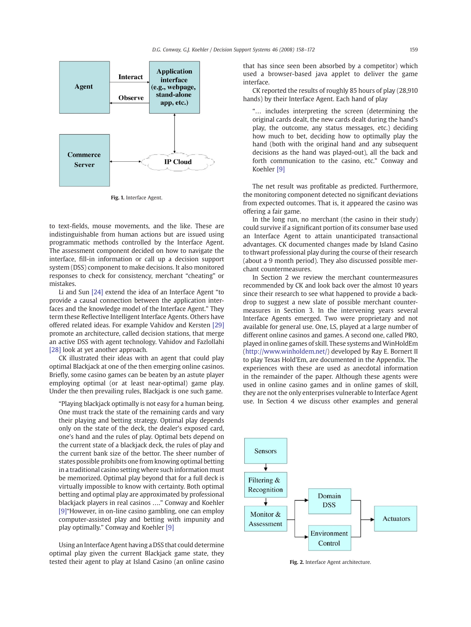<span id="page-1-0"></span>

Fig. 1. Interface Agent.

to text-fields, mouse movements, and the like. These are indistinguishable from human actions but are issued using programmatic methods controlled by the Interface Agent. The assessment component decided on how to navigate the interface, fill-in information or call up a decision support system (DSS) component to make decisions. It also monitored responses to check for consistency, merchant "cheating" or mistakes.

Li and Sun [\[24\]](#page--1-0) extend the idea of an Interface Agent "to provide a causal connection between the application interfaces and the knowledge model of the Interface Agent." They term these Reflective Intelligent Interface Agents. Others have offered related ideas. For example Vahidov and Kersten [\[29\]](#page--1-0) promote an architecture, called decision stations, that merge an active DSS with agent technology. Vahidov and Fazlollahi [\[28\]](#page--1-0) look at yet another approach.

CK illustrated their ideas with an agent that could play optimal Blackjack at one of the then emerging online casinos. Briefly, some casino games can be beaten by an astute player employing optimal (or at least near-optimal) game play. Under the then prevailing rules, Blackjack is one such game.

"Playing blackjack optimally is not easy for a human being. One must track the state of the remaining cards and vary their playing and betting strategy. Optimal play depends only on the state of the deck, the dealer's exposed card, one's hand and the rules of play. Optimal bets depend on the current state of a blackjack deck, the rules of play and the current bank size of the bettor. The sheer number of states possible prohibits one from knowing optimal betting in a traditional casino setting where such information must be memorized. Optimal play beyond that for a full deck is virtually impossible to know with certainty. Both optimal betting and optimal play are approximated by professional blackjack players in real casinos …." Conway and Koehler [\[9\]](#page--1-0)"However, in on-line casino gambling, one can employ computer-assisted play and betting with impunity and play optimally." Conway and Koehler [\[9\]](#page--1-0)

Using an Interface Agent having a DSS that could determine optimal play given the current Blackjack game state, they tested their agent to play at Island Casino (an online casino that has since seen been absorbed by a competitor) which used a browser-based java applet to deliver the game interface.

CK reported the results of roughly 85 hours of play (28,910 hands) by their Interface Agent. Each hand of play

"… includes interpreting the screen (determining the original cards dealt, the new cards dealt during the hand's play, the outcome, any status messages, etc.) deciding how much to bet, deciding how to optimally play the hand (both with the original hand and any subsequent decisions as the hand was played-out), all the back and forth communication to the casino, etc." Conway and Koehler [\[9\]](#page--1-0)

The net result was profitable as predicted. Furthermore, the monitoring component detected no significant deviations from expected outcomes. That is, it appeared the casino was offering a fair game.

In the long run, no merchant (the casino in their study) could survive if a significant portion of its consumer base used an Interface Agent to attain unanticipated transactional advantages. CK documented changes made by Island Casino to thwart professional play during the course of their research (about a 9 month period). They also discussed possible merchant countermeasures.

In Section 2 we review the merchant countermeasures recommended by CK and look back over the almost 10 years since their research to see what happened to provide a backdrop to suggest a new slate of possible merchant countermeasures in Section 3. In the intervening years several Interface Agents emerged. Two were proprietary and not available for general use. One, LS, played at a large number of different online casinos and games. A second one, called PRO, played in online games of skill. These systems andWinHoldEm [\(http://www.winholdem.net/\)](http://www.winholdem.net/) developed by Ray E. Bornert II to play Texas Hold'Em, are documented in the Appendix. The experiences with these are used as anecdotal information in the remainder of the paper. Although these agents were used in online casino games and in online games of skill, they are not the only enterprises vulnerable to Interface Agent use. In Section 4 we discuss other examples and general



Fig. 2. Interface Agent architecture.